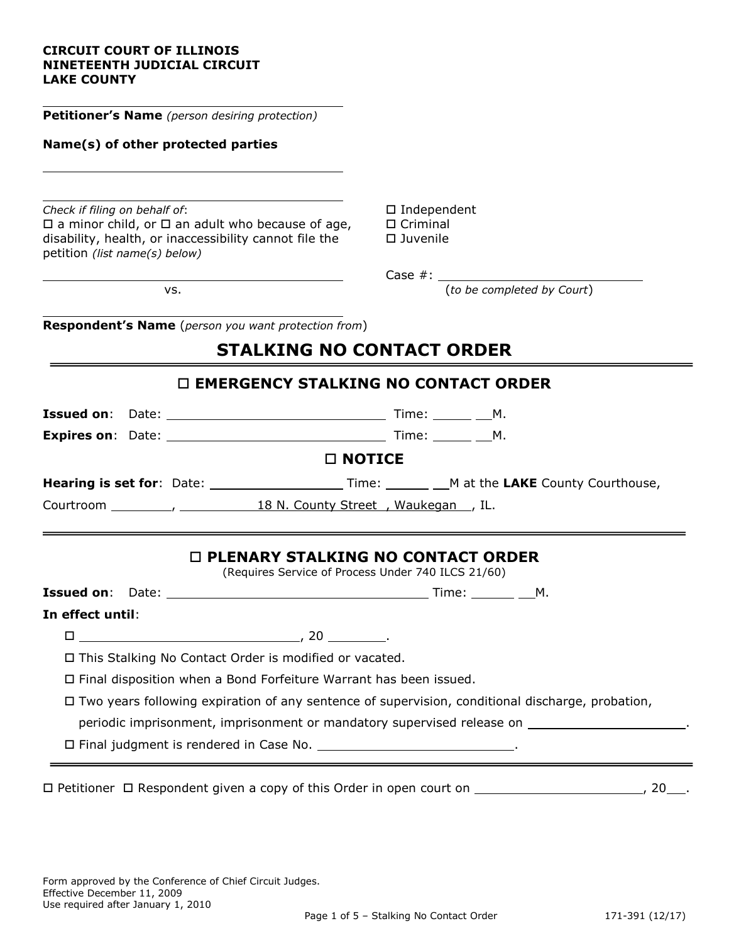#### **CIRCUIT COURT OF ILLINOIS NINETEENTH JUDICIAL CIRCUIT LAKE COUNTY**

**Petitioner's Name** *(person desiring protection)*

#### **Name(s) of other protected parties**

Check if filing on behalf of: **Independent ID** Independent  $\square$  a minor child, or  $\square$  an adult who because of age,  $\square$  Criminal disability, health, or inaccessibility cannot file the  $\Box$  Juvenile petition *(list name(s) below)*

Case #:

vs. (*to be completed by Court*)

**Respondent's Name** (*person you want protection from*)

# **STALKING NO CONTACT ORDER**

| $\Box$ EMERGENCY STALKING NO CONTACT ORDER |                                                                                                                                                                                                                                                                                          |  |  |  |  |  |  |  |  |  |
|--------------------------------------------|------------------------------------------------------------------------------------------------------------------------------------------------------------------------------------------------------------------------------------------------------------------------------------------|--|--|--|--|--|--|--|--|--|
|                                            |                                                                                                                                                                                                                                                                                          |  |  |  |  |  |  |  |  |  |
|                                            |                                                                                                                                                                                                                                                                                          |  |  |  |  |  |  |  |  |  |
|                                            | <b>□ NOTICE</b>                                                                                                                                                                                                                                                                          |  |  |  |  |  |  |  |  |  |
|                                            |                                                                                                                                                                                                                                                                                          |  |  |  |  |  |  |  |  |  |
|                                            |                                                                                                                                                                                                                                                                                          |  |  |  |  |  |  |  |  |  |
| In effect until:                           | (Requires Service of Process Under 740 ILCS 21/60)                                                                                                                                                                                                                                       |  |  |  |  |  |  |  |  |  |
|                                            |                                                                                                                                                                                                                                                                                          |  |  |  |  |  |  |  |  |  |
|                                            |                                                                                                                                                                                                                                                                                          |  |  |  |  |  |  |  |  |  |
|                                            | $\Box$ This Stalking No Contact Order is modified or vacated.<br>$\Box$ Final disposition when a Bond Forfeiture Warrant has been issued.                                                                                                                                                |  |  |  |  |  |  |  |  |  |
|                                            | $\Box$ Two years following expiration of any sentence of supervision, conditional discharge, probation,<br>periodic imprisonment, imprisonment or mandatory supervised release on ______________________.<br>□ Final judgment is rendered in Case No. _________________________________. |  |  |  |  |  |  |  |  |  |

 $\Box$  Petitioner  $\Box$  Respondent given a copy of this Order in open court on  $\Box$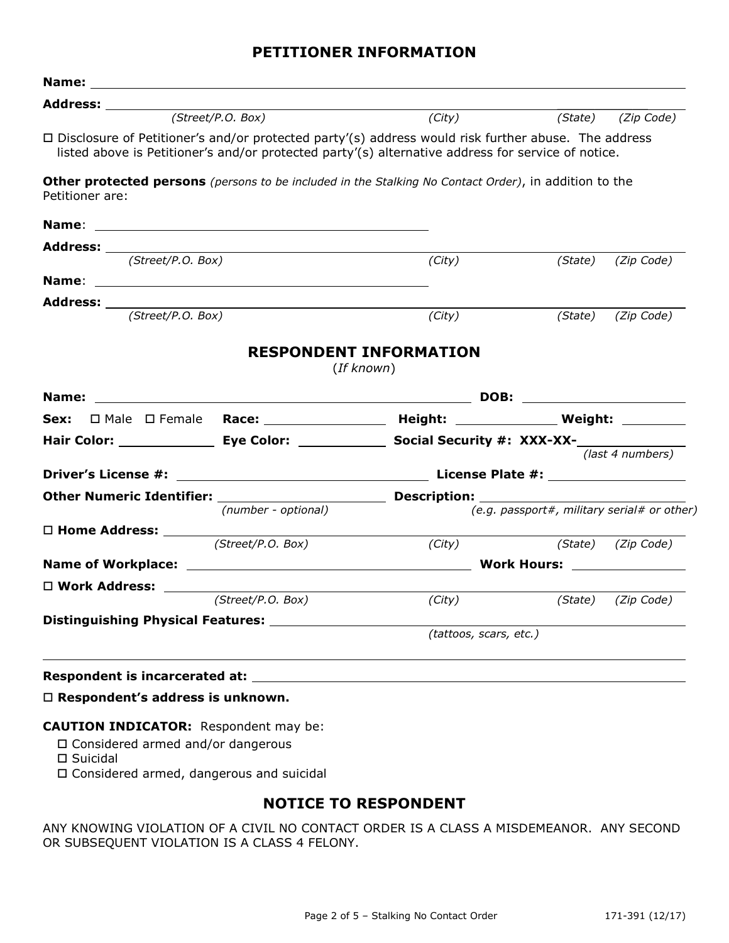#### **PETITIONER INFORMATION**

| Name:                                                                                                                    |                        |                                                                                              |                    |  |  |
|--------------------------------------------------------------------------------------------------------------------------|------------------------|----------------------------------------------------------------------------------------------|--------------------|--|--|
| Address: _________<br>(Street/P. O. Box)                                                                                 | (City)                 |                                                                                              | (State) (Zip Code) |  |  |
| $\Box$ Disclosure of Petitioner's and/or protected party'(s) address would risk further abuse. The address               |                        |                                                                                              |                    |  |  |
| listed above is Petitioner's and/or protected party'(s) alternative address for service of notice.                       |                        |                                                                                              |                    |  |  |
| Other protected persons (persons to be included in the Stalking No Contact Order), in addition to the<br>Petitioner are: |                        |                                                                                              |                    |  |  |
|                                                                                                                          |                        |                                                                                              |                    |  |  |
|                                                                                                                          |                        |                                                                                              |                    |  |  |
| (Street/P.O. Box)                                                                                                        | (City)                 | (State)                                                                                      | (Zip Code)         |  |  |
|                                                                                                                          |                        |                                                                                              |                    |  |  |
| (Street/P.O. Box)                                                                                                        | (City)                 |                                                                                              | (State) (Zip Code) |  |  |
|                                                                                                                          |                        |                                                                                              |                    |  |  |
| Name:                                                                                                                    | (If known)             |                                                                                              |                    |  |  |
|                                                                                                                          |                        | Sex: $\Box$ Male $\Box$ Female Race: ________________ Height: _____________ Weight: ________ |                    |  |  |
|                                                                                                                          |                        |                                                                                              |                    |  |  |
|                                                                                                                          | (last 4 numbers)       |                                                                                              |                    |  |  |
|                                                                                                                          |                        |                                                                                              |                    |  |  |
| <b>Other Numeric Identifier:</b>                                                                                         |                        |                                                                                              |                    |  |  |
| (number - optional)                                                                                                      |                        | (e.g. passport#, military serial# or other)                                                  |                    |  |  |
| $\Box$ Home Address: $\frac{\Box \text{Home Address}}{\text{(Street/P.0. Box)}}$                                         | (City)                 |                                                                                              | (State) (Zip Code) |  |  |
|                                                                                                                          |                        |                                                                                              |                    |  |  |
| □ Work Address: <u>www.manage</u>                                                                                        |                        |                                                                                              |                    |  |  |
| (Street/P.O. Box)                                                                                                        | $\overline{(City)}$    |                                                                                              | (State) (Zip Code) |  |  |
|                                                                                                                          |                        |                                                                                              |                    |  |  |
|                                                                                                                          | (tattoos, scars, etc.) |                                                                                              |                    |  |  |
|                                                                                                                          |                        |                                                                                              |                    |  |  |
| Respondent is incarcerated at: Note that the set of the set of the set of the set of the set of the set of the           |                        |                                                                                              |                    |  |  |

#### **Respondent's address is unknown.**

#### **CAUTION INDICATOR:** Respondent may be:

- Considered armed and/or dangerous
- Suicidal
- Considered armed, dangerous and suicidal

#### **NOTICE TO RESPONDENT**

ANY KNOWING VIOLATION OF A CIVIL NO CONTACT ORDER IS A CLASS A MISDEMEANOR. ANY SECOND OR SUBSEQUENT VIOLATION IS A CLASS 4 FELONY.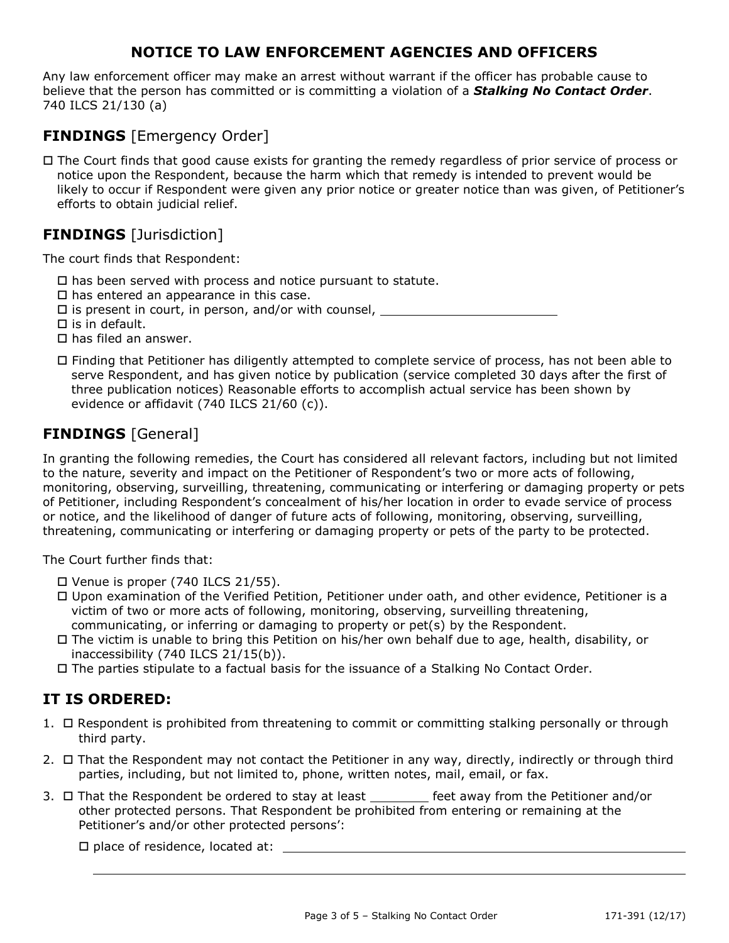### **NOTICE TO LAW ENFORCEMENT AGENCIES AND OFFICERS**

Any law enforcement officer may make an arrest without warrant if the officer has probable cause to believe that the person has committed or is committing a violation of a *Stalking No Contact Order*. 740 ILCS 21/130 (a)

## **FINDINGS** [Emergency Order]

 $\Box$  The Court finds that good cause exists for granting the remedy regardless of prior service of process or notice upon the Respondent, because the harm which that remedy is intended to prevent would be likely to occur if Respondent were given any prior notice or greater notice than was given, of Petitioner's efforts to obtain judicial relief.

### **FINDINGS** [Jurisdiction]

The court finds that Respondent:

- $\Box$  has been served with process and notice pursuant to statute.
- $\square$  has entered an appearance in this case.
- is present in court, in person, and/or with counsel,
- $\Box$  is in default.
- $\square$  has filed an answer.
- Finding that Petitioner has diligently attempted to complete service of process, has not been able to serve Respondent, and has given notice by publication (service completed 30 days after the first of three publication notices) Reasonable efforts to accomplish actual service has been shown by evidence or affidavit (740 ILCS 21/60 (c)).

## **FINDINGS** [General]

In granting the following remedies, the Court has considered all relevant factors, including but not limited to the nature, severity and impact on the Petitioner of Respondent's two or more acts of following, monitoring, observing, surveilling, threatening, communicating or interfering or damaging property or pets of Petitioner, including Respondent's concealment of his/her location in order to evade service of process or notice, and the likelihood of danger of future acts of following, monitoring, observing, surveilling, threatening, communicating or interfering or damaging property or pets of the party to be protected.

The Court further finds that:

- $\Box$  Venue is proper (740 ILCS 21/55).
- Upon examination of the Verified Petition, Petitioner under oath, and other evidence, Petitioner is a victim of two or more acts of following, monitoring, observing, surveilling threatening, communicating, or inferring or damaging to property or pet(s) by the Respondent.
- The victim is unable to bring this Petition on his/her own behalf due to age, health, disability, or inaccessibility (740 ILCS 21/15(b)).
- The parties stipulate to a factual basis for the issuance of a Stalking No Contact Order.

#### **IT IS ORDERED:**

- 1.  $\Box$  Respondent is prohibited from threatening to commit or committing stalking personally or through third party.
- 2.  $\Box$  That the Respondent may not contact the Petitioner in any way, directly, indirectly or through third parties, including, but not limited to, phone, written notes, mail, email, or fax.
- 3.  $\Box$  That the Respondent be ordered to stay at least feet away from the Petitioner and/or other protected persons. That Respondent be prohibited from entering or remaining at the Petitioner's and/or other protected persons':

 $\square$  place of residence, located at: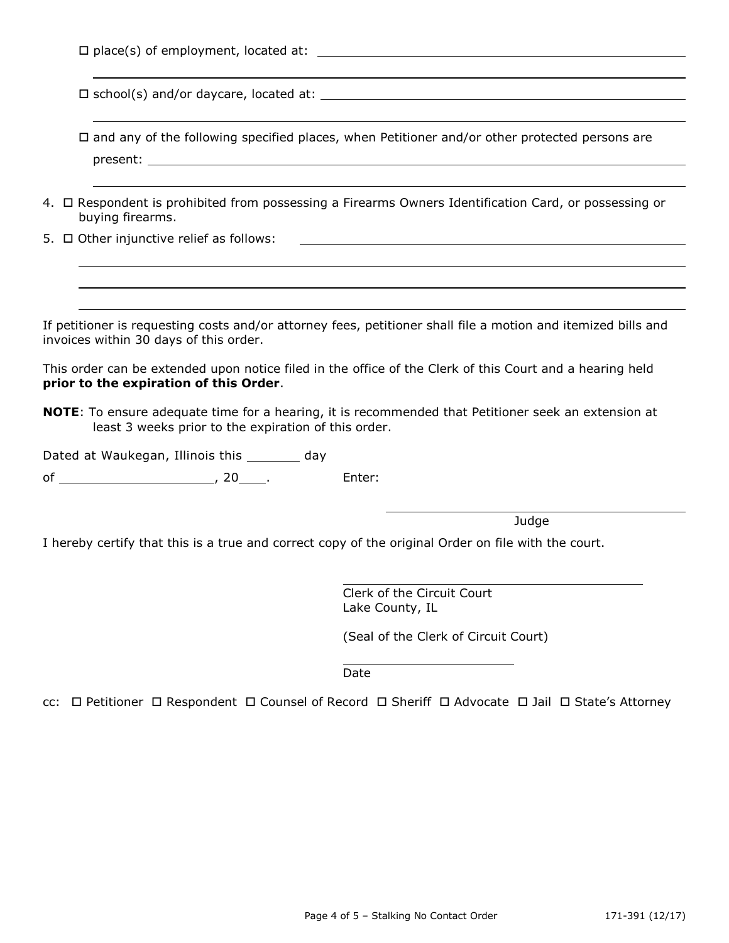|  |  |  | $\Box$ place(s) of employment, located at: |  |
|--|--|--|--------------------------------------------|--|
|  |  |  |                                            |  |

school(s) and/or daycare, located at:

 $\Box$  and any of the following specified places, when Petitioner and/or other protected persons are present: \_\_\_\_

- 4.  $\Box$  Respondent is prohibited from possessing a Firearms Owners Identification Card, or possessing or buying firearms.
- $5. \Box$  Other injunctive relief as follows:

If petitioner is requesting costs and/or attorney fees, petitioner shall file a motion and itemized bills and invoices within 30 days of this order.

This order can be extended upon notice filed in the office of the Clerk of this Court and a hearing held **prior to the expiration of this Order**.

**NOTE**: To ensure adequate time for a hearing, it is recommended that Petitioner seek an extension at least 3 weeks prior to the expiration of this order.

Dated at Waukegan, Illinois this \_\_\_\_\_\_\_\_ day

of , 20 . Enter:

**Judge** 

I hereby certify that this is a true and correct copy of the original Order on file with the court.

Clerk of the Circuit Court Lake County, IL

(Seal of the Clerk of Circuit Court)

Date

cc: □ Petitioner □ Respondent □ Counsel of Record □ Sheriff □ Advocate □ Jail □ State's Attorney